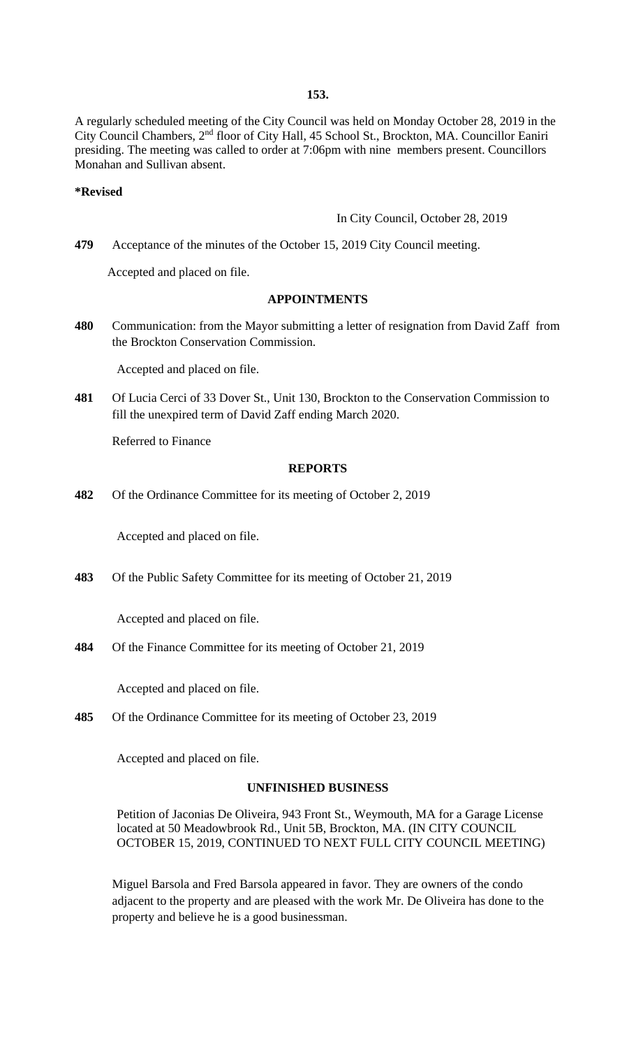**153.**

A regularly scheduled meeting of the City Council was held on Monday October 28, 2019 in the City Council Chambers, 2nd floor of City Hall, 45 School St., Brockton, MA. Councillor Eaniri presiding. The meeting was called to order at 7:06pm with nine members present. Councillors Monahan and Sullivan absent.

#### **\*Revised**

In City Council, October 28, 2019

**479** Acceptance of the minutes of the October 15, 2019 City Council meeting.

Accepted and placed on file.

#### **APPOINTMENTS**

**480** Communication: from the Mayor submitting a letter of resignation from David Zaff from the Brockton Conservation Commission.

Accepted and placed on file.

**481** Of Lucia Cerci of 33 Dover St., Unit 130, Brockton to the Conservation Commission to fill the unexpired term of David Zaff ending March 2020.

Referred to Finance

#### **REPORTS**

**482** Of the Ordinance Committee for its meeting of October 2, 2019

Accepted and placed on file.

**483** Of the Public Safety Committee for its meeting of October 21, 2019

Accepted and placed on file.

**484** Of the Finance Committee for its meeting of October 21, 2019

Accepted and placed on file.

**485** Of the Ordinance Committee for its meeting of October 23, 2019

Accepted and placed on file.

# **UNFINISHED BUSINESS**

Petition of Jaconias De Oliveira, 943 Front St., Weymouth, MA for a Garage License located at 50 Meadowbrook Rd., Unit 5B, Brockton, MA. (IN CITY COUNCIL OCTOBER 15, 2019, CONTINUED TO NEXT FULL CITY COUNCIL MEETING)

Miguel Barsola and Fred Barsola appeared in favor. They are owners of the condo adjacent to the property and are pleased with the work Mr. De Oliveira has done to the property and believe he is a good businessman.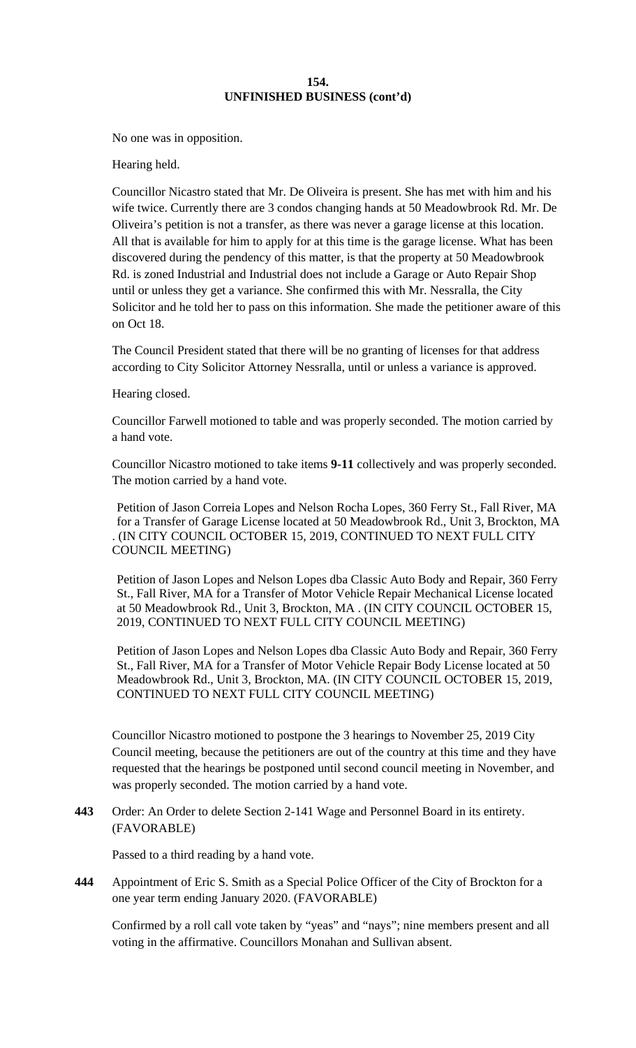No one was in opposition.

Hearing held.

Councillor Nicastro stated that Mr. De Oliveira is present. She has met with him and his wife twice. Currently there are 3 condos changing hands at 50 Meadowbrook Rd. Mr. De Oliveira's petition is not a transfer, as there was never a garage license at this location. All that is available for him to apply for at this time is the garage license. What has been discovered during the pendency of this matter, is that the property at 50 Meadowbrook Rd. is zoned Industrial and Industrial does not include a Garage or Auto Repair Shop until or unless they get a variance. She confirmed this with Mr. Nessralla, the City Solicitor and he told her to pass on this information. She made the petitioner aware of this on Oct 18.

The Council President stated that there will be no granting of licenses for that address according to City Solicitor Attorney Nessralla, until or unless a variance is approved.

Hearing closed.

Councillor Farwell motioned to table and was properly seconded. The motion carried by a hand vote.

Councillor Nicastro motioned to take items **9-11** collectively and was properly seconded. The motion carried by a hand vote.

Petition of Jason Correia Lopes and Nelson Rocha Lopes, 360 Ferry St., Fall River, MA for a Transfer of Garage License located at 50 Meadowbrook Rd., Unit 3, Brockton, MA . (IN CITY COUNCIL OCTOBER 15, 2019, CONTINUED TO NEXT FULL CITY COUNCIL MEETING)

Petition of Jason Lopes and Nelson Lopes dba Classic Auto Body and Repair, 360 Ferry St., Fall River, MA for a Transfer of Motor Vehicle Repair Mechanical License located at 50 Meadowbrook Rd., Unit 3, Brockton, MA . (IN CITY COUNCIL OCTOBER 15, 2019, CONTINUED TO NEXT FULL CITY COUNCIL MEETING)

Petition of Jason Lopes and Nelson Lopes dba Classic Auto Body and Repair, 360 Ferry St., Fall River, MA for a Transfer of Motor Vehicle Repair Body License located at 50 Meadowbrook Rd., Unit 3, Brockton, MA. (IN CITY COUNCIL OCTOBER 15, 2019, CONTINUED TO NEXT FULL CITY COUNCIL MEETING)

Councillor Nicastro motioned to postpone the 3 hearings to November 25, 2019 City Council meeting, because the petitioners are out of the country at this time and they have requested that the hearings be postponed until second council meeting in November, and was properly seconded. The motion carried by a hand vote.

**443** Order: An Order to delete Section 2-141 Wage and Personnel Board in its entirety. (FAVORABLE)

Passed to a third reading by a hand vote.

**444** Appointment of Eric S. Smith as a Special Police Officer of the City of Brockton for a one year term ending January 2020. (FAVORABLE)

Confirmed by a roll call vote taken by "yeas" and "nays"; nine members present and all voting in the affirmative. Councillors Monahan and Sullivan absent.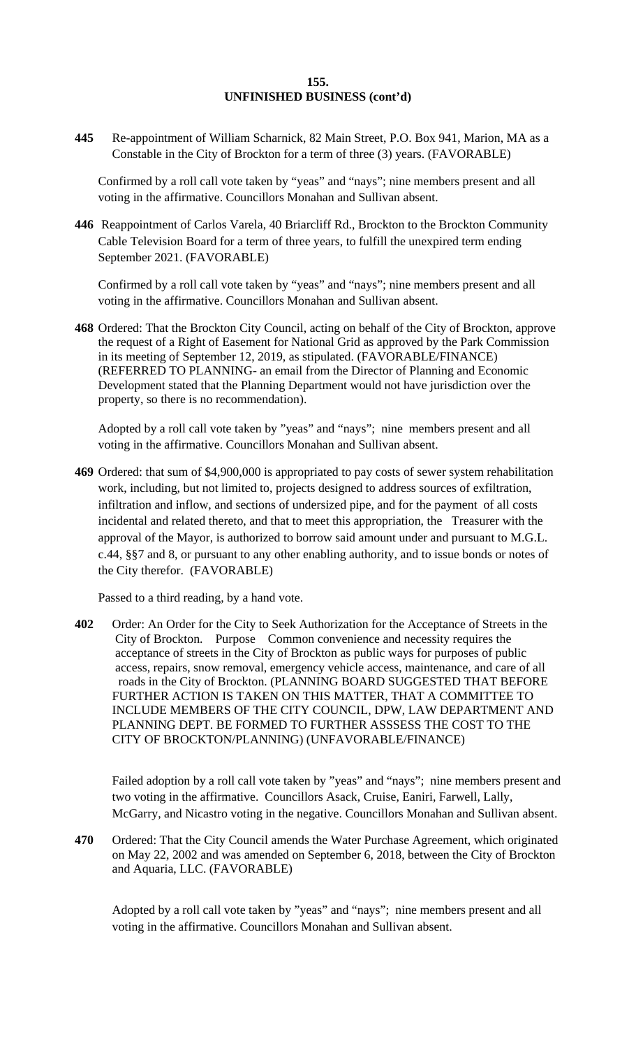**445** Re-appointment of William Scharnick, 82 Main Street, P.O. Box 941, Marion, MA as a Constable in the City of Brockton for a term of three (3) years. (FAVORABLE)

Confirmed by a roll call vote taken by "yeas" and "nays"; nine members present and all voting in the affirmative. Councillors Monahan and Sullivan absent.

**446** Reappointment of Carlos Varela, 40 Briarcliff Rd., Brockton to the Brockton Community Cable Television Board for a term of three years, to fulfill the unexpired term ending September 2021. (FAVORABLE)

Confirmed by a roll call vote taken by "yeas" and "nays"; nine members present and all voting in the affirmative. Councillors Monahan and Sullivan absent.

**468** Ordered: That the Brockton City Council, acting on behalf of the City of Brockton, approve the request of a Right of Easement for National Grid as approved by the Park Commission in its meeting of September 12, 2019, as stipulated. (FAVORABLE/FINANCE) (REFERRED TO PLANNING- an email from the Director of Planning and Economic Development stated that the Planning Department would not have jurisdiction over the property, so there is no recommendation).

Adopted by a roll call vote taken by "yeas" and "nays"; nine members present and all voting in the affirmative. Councillors Monahan and Sullivan absent.

**469** Ordered: that sum of \$4,900,000 is appropriated to pay costs of sewer system rehabilitation work, including, but not limited to, projects designed to address sources of exfiltration, infiltration and inflow, and sections of undersized pipe, and for the payment of all costs incidental and related thereto, and that to meet this appropriation, the Treasurer with the approval of the Mayor, is authorized to borrow said amount under and pursuant to M.G.L. c.44, §§7 and 8, or pursuant to any other enabling authority, and to issue bonds or notes of the City therefor. (FAVORABLE)

Passed to a third reading, by a hand vote.

**402** Order: An Order for the City to Seek Authorization for the Acceptance of Streets in the City of Brockton. Purpose Common convenience and necessity requires the acceptance of streets in the City of Brockton as public ways for purposes of public access, repairs, snow removal, emergency vehicle access, maintenance, and care of all roads in the City of Brockton. (PLANNING BOARD SUGGESTED THAT BEFORE FURTHER ACTION IS TAKEN ON THIS MATTER, THAT A COMMITTEE TO INCLUDE MEMBERS OF THE CITY COUNCIL, DPW, LAW DEPARTMENT AND PLANNING DEPT. BE FORMED TO FURTHER ASSSESS THE COST TO THE CITY OF BROCKTON/PLANNING) (UNFAVORABLE/FINANCE)

Failed adoption by a roll call vote taken by "yeas" and "nays"; nine members present and two voting in the affirmative. Councillors Asack, Cruise, Eaniri, Farwell, Lally, McGarry, and Nicastro voting in the negative. Councillors Monahan and Sullivan absent.

**470** Ordered: That the City Council amends the Water Purchase Agreement, which originated on May 22, 2002 and was amended on September 6, 2018, between the City of Brockton and Aquaria, LLC. (FAVORABLE)

Adopted by a roll call vote taken by "yeas" and "nays"; nine members present and all voting in the affirmative. Councillors Monahan and Sullivan absent.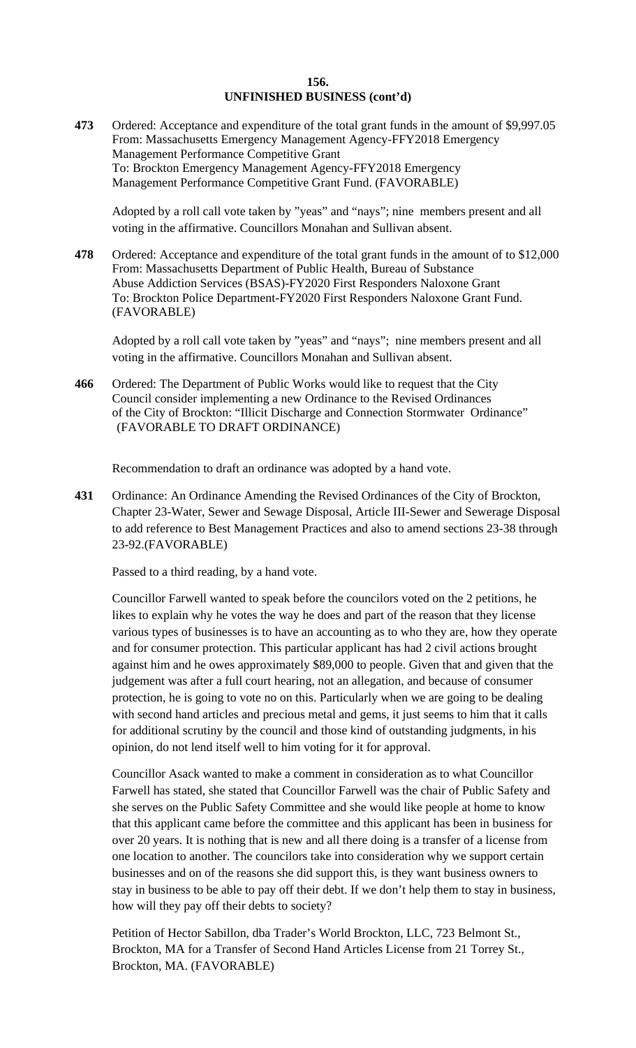**473** Ordered: Acceptance and expenditure of the total grant funds in the amount of \$9,997.05 From: Massachusetts Emergency Management Agency-FFY2018 Emergency Management Performance Competitive Grant To: Brockton Emergency Management Agency-FFY2018 Emergency Management Performance Competitive Grant Fund. (FAVORABLE)

Adopted by a roll call vote taken by "yeas" and "nays"; nine members present and all voting in the affirmative. Councillors Monahan and Sullivan absent.

**478** Ordered: Acceptance and expenditure of the total grant funds in the amount of to \$12,000 From: Massachusetts Department of Public Health, Bureau of Substance Abuse Addiction Services (BSAS)-FY2020 First Responders Naloxone Grant To: Brockton Police Department-FY2020 First Responders Naloxone Grant Fund. (FAVORABLE)

Adopted by a roll call vote taken by "yeas" and "nays"; nine members present and all voting in the affirmative. Councillors Monahan and Sullivan absent.

**466** Ordered: The Department of Public Works would like to request that the City Council consider implementing a new Ordinance to the Revised Ordinances of the City of Brockton: "Illicit Discharge and Connection Stormwater Ordinance" (FAVORABLE TO DRAFT ORDINANCE)

Recommendation to draft an ordinance was adopted by a hand vote.

**431** Ordinance: An Ordinance Amending the Revised Ordinances of the City of Brockton, Chapter 23-Water, Sewer and Sewage Disposal, Article III-Sewer and Sewerage Disposal to add reference to Best Management Practices and also to amend sections 23-38 through 23-92.(FAVORABLE)

Passed to a third reading, by a hand vote.

Councillor Farwell wanted to speak before the councilors voted on the 2 petitions, he likes to explain why he votes the way he does and part of the reason that they license various types of businesses is to have an accounting as to who they are, how they operate and for consumer protection. This particular applicant has had 2 civil actions brought against him and he owes approximately \$89,000 to people. Given that and given that the judgement was after a full court hearing, not an allegation, and because of consumer protection, he is going to vote no on this. Particularly when we are going to be dealing with second hand articles and precious metal and gems, it just seems to him that it calls for additional scrutiny by the council and those kind of outstanding judgments, in his opinion, do not lend itself well to him voting for it for approval.

Councillor Asack wanted to make a comment in consideration as to what Councillor Farwell has stated, she stated that Councillor Farwell was the chair of Public Safety and she serves on the Public Safety Committee and she would like people at home to know that this applicant came before the committee and this applicant has been in business for over 20 years. It is nothing that is new and all there doing is a transfer of a license from one location to another. The councilors take into consideration why we support certain businesses and on of the reasons she did support this, is they want business owners to stay in business to be able to pay off their debt. If we don't help them to stay in business, how will they pay off their debts to society?

Petition of Hector Sabillon, dba Trader's World Brockton, LLC, 723 Belmont St., Brockton, MA for a Transfer of Second Hand Articles License from 21 Torrey St., Brockton, MA. (FAVORABLE)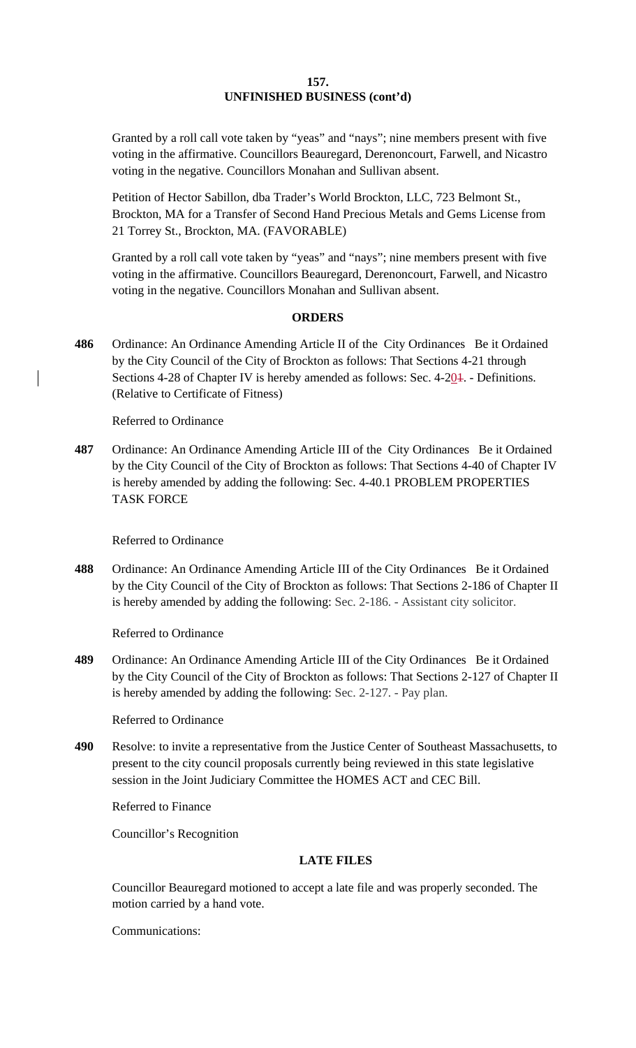Granted by a roll call vote taken by "yeas" and "nays"; nine members present with five voting in the affirmative. Councillors Beauregard, Derenoncourt, Farwell, and Nicastro voting in the negative. Councillors Monahan and Sullivan absent.

Petition of Hector Sabillon, dba Trader's World Brockton, LLC, 723 Belmont St., Brockton, MA for a Transfer of Second Hand Precious Metals and Gems License from 21 Torrey St., Brockton, MA. (FAVORABLE)

Granted by a roll call vote taken by "yeas" and "nays"; nine members present with five voting in the affirmative. Councillors Beauregard, Derenoncourt, Farwell, and Nicastro voting in the negative. Councillors Monahan and Sullivan absent.

# **ORDERS**

**486** Ordinance: An Ordinance Amending Article II of the City Ordinances Be it Ordained by the City Council of the City of Brockton as follows: That Sections 4-21 through Sections 4-28 of Chapter IV is hereby amended as follows: Sec. 4-201. - Definitions. (Relative to Certificate of Fitness)

Referred to Ordinance

**487** Ordinance: An Ordinance Amending Article III of the City Ordinances Be it Ordained by the City Council of the City of Brockton as follows: That Sections 4-40 of Chapter IV is hereby amended by adding the following: Sec. 4-40.1 PROBLEM PROPERTIES TASK FORCE

Referred to Ordinance

**488** Ordinance: An Ordinance Amending Article III of the City Ordinances Be it Ordained by the City Council of the City of Brockton as follows: That Sections 2-186 of Chapter II is hereby amended by adding the following: Sec. 2-186. - Assistant city solicitor.

Referred to Ordinance

**489** Ordinance: An Ordinance Amending Article III of the City Ordinances Be it Ordained by the City Council of the City of Brockton as follows: That Sections 2-127 of Chapter II is hereby amended by adding the following: Sec. 2-127. - Pay plan.

Referred to Ordinance

**490** Resolve: to invite a representative from the Justice Center of Southeast Massachusetts, to present to the city council proposals currently being reviewed in this state legislative session in the Joint Judiciary Committee the HOMES ACT and CEC Bill.

Referred to Finance

Councillor's Recognition

# **LATE FILES**

Councillor Beauregard motioned to accept a late file and was properly seconded. The motion carried by a hand vote.

Communications: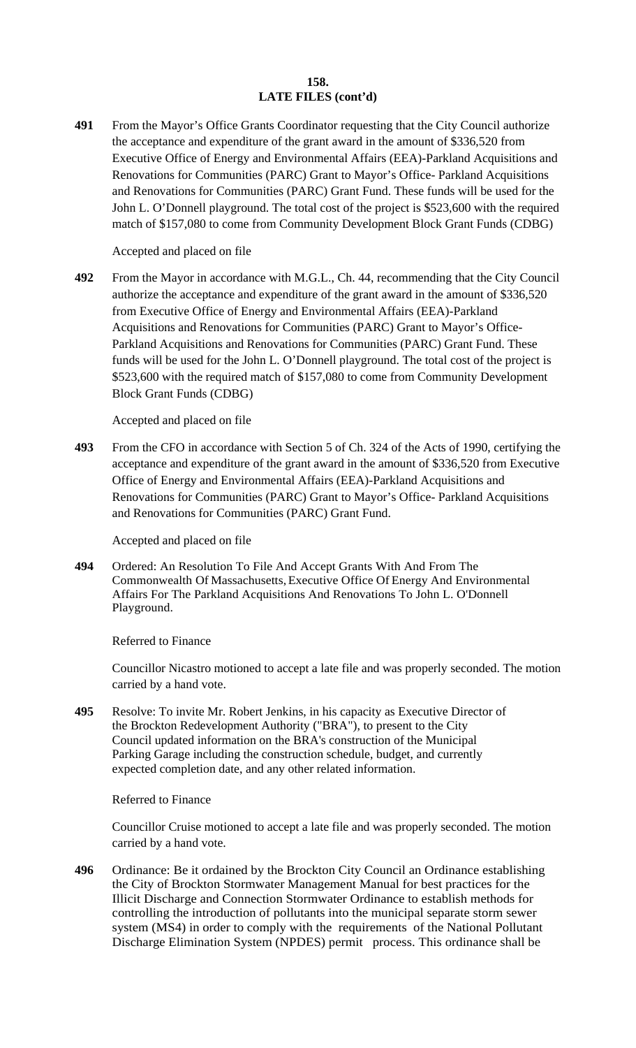# **158. LATE FILES (cont'd)**

**491** From the Mayor's Office Grants Coordinator requesting that the City Council authorize the acceptance and expenditure of the grant award in the amount of \$336,520 from Executive Office of Energy and Environmental Affairs (EEA)-Parkland Acquisitions and Renovations for Communities (PARC) Grant to Mayor's Office- Parkland Acquisitions and Renovations for Communities (PARC) Grant Fund. These funds will be used for the John L. O'Donnell playground. The total cost of the project is \$523,600 with the required match of \$157,080 to come from Community Development Block Grant Funds (CDBG)

Accepted and placed on file

**492** From the Mayor in accordance with M.G.L., Ch. 44, recommending that the City Council authorize the acceptance and expenditure of the grant award in the amount of \$336,520 from Executive Office of Energy and Environmental Affairs (EEA)-Parkland Acquisitions and Renovations for Communities (PARC) Grant to Mayor's Office-Parkland Acquisitions and Renovations for Communities (PARC) Grant Fund. These funds will be used for the John L. O'Donnell playground. The total cost of the project is \$523,600 with the required match of \$157,080 to come from Community Development Block Grant Funds (CDBG)

Accepted and placed on file

**493** From the CFO in accordance with Section 5 of Ch. 324 of the Acts of 1990, certifying the acceptance and expenditure of the grant award in the amount of \$336,520 from Executive Office of Energy and Environmental Affairs (EEA)-Parkland Acquisitions and Renovations for Communities (PARC) Grant to Mayor's Office- Parkland Acquisitions and Renovations for Communities (PARC) Grant Fund.

Accepted and placed on file

**494** Ordered: An Resolution To File And Accept Grants With And From The Commonwealth Of Massachusetts, Executive Office Of Energy And Environmental Affairs For The Parkland Acquisitions And Renovations To John L. O'Donnell Playground.

# Referred to Finance

Councillor Nicastro motioned to accept a late file and was properly seconded. The motion carried by a hand vote.

**495** Resolve: To invite Mr. Robert Jenkins, in his capacity as Executive Director of the Brockton Redevelopment Authority ("BRA"), to present to the City Council updated information on the BRA's construction of the Municipal Parking Garage including the construction schedule, budget, and currently expected completion date, and any other related information.

# Referred to Finance

Councillor Cruise motioned to accept a late file and was properly seconded. The motion carried by a hand vote.

**496** Ordinance: Be it ordained by the Brockton City Council an Ordinance establishing the City of Brockton Stormwater Management Manual for best practices for the Illicit Discharge and Connection Stormwater Ordinance to establish methods for controlling the introduction of pollutants into the municipal separate storm sewer system (MS4) in order to comply with the requirements of the National Pollutant Discharge Elimination System (NPDES) permit process. This ordinance shall be